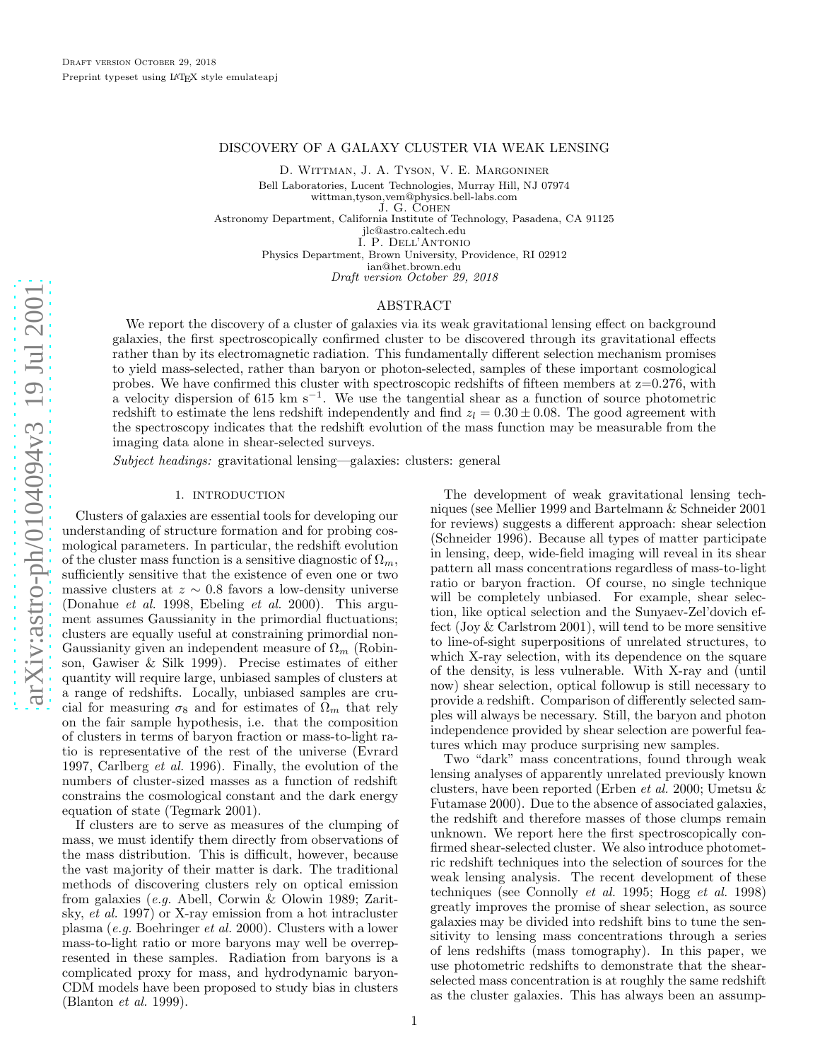# DISCOVERY OF A GALAXY CLUSTER VIA WEAK LENSING

D. Wittman, J. A. Tyson, V. E. Margoniner

Bell Laboratories, Lucent Technologies, Murray Hill, NJ 07974

wittman,tyson,vem@physics.bell-labs.com

J. G. Cohen

Astronomy Department, California Institute of Technology, Pasadena, CA 91125

jlc@astro.caltech.edu

I. P. Dell'Antonio Physics Department, Brown University, Providence, RI 0291 2

ian@het.brown.edu

Draft version October 29, 2018

### ABSTRACT

We report the discovery of a cluster of galaxies via its weak gravitational lensing effect on background galaxies, the first spectroscopically confirmed cluster to be discovered through its gravitational effects rather than by its electromagnetic radiation. This fundamentally different selection mechanism promises to yield mass-selected, rather than baryon or photon-selected, samples of these important cosmological probes. We have confirmed this cluster with spectroscopic redshifts of fifteen members at  $z=0.276$ , with a velocity dispersion of 615 km s<sup>-1</sup>. We use the tangential shear as a function of source photometric redshift to estimate the lens redshift independently and find  $z_l = 0.30 \pm 0.08$ . The good agreement with the spectroscopy indicates that the redshift evolution of the mass function may be measurable from the imaging data alone in shear-selected surveys.

*Subject headings:* gravitational lensing—galaxies: clusters: general

# 1. INTRODUCTION

Clusters of galaxies are essential tools for developing our understanding of structure formation and for probing cosmological parameters. In particular, the redshift evolution of the cluster mass function is a sensitive diagnostic of  $\Omega_m$ , sufficiently sensitive that the existence of even one or two massive clusters at  $z \sim 0.8$  favors a low-density universe (Donahue *et al.* 1998, Ebeling *et al.* 2000). This argument assumes Gaussianity in the primordial fluctuations; clusters are equally useful at constraining primordial non-Gaussianity given an independent measure of  $\Omega_m$  (Robinson, Gawiser & Silk 1999). Precise estimates of either quantity will require large, unbiased samples of clusters at a range of redshifts. Locally, unbiased samples are crucial for measuring  $\sigma_8$  and for estimates of  $\Omega_m$  that rely on the fair sample hypothesis, i.e. that the composition of clusters in terms of baryon fraction or mass-to-light ratio is representative of the rest of the universe (Evrard 1997, Carlberg *et al.* 1996). Finally, the evolution of the numbers of cluster-sized masses as a function of redshift constrains the cosmological constant and the dark energy equation of state (Tegmark 2001).

If clusters are to serve as measures of the clumping of mass, we must identify them directly from observations of the mass distribution. This is difficult, however, because the vast majority of their matter is dark. The traditional methods of discovering clusters rely on optical emission from galaxies (*e.g.* Abell, Corwin & Olowin 1989; Zaritsky, *et al.* 1997) or X-ray emission from a hot intracluster plasma (*e.g.* Boehringer *et al.* 2000). Clusters with a lower mass-to-light ratio or more baryons may well be overrepresented in these samples. Radiation from baryons is a complicated proxy for mass, and hydrodynamic baryon-CDM models have been proposed to study bias in clusters (Blanton *et al.* 1999).

The development of weak gravitational lensing techniques (see Mellier 1999 and Bartelmann & Schneider 2001 for reviews) suggests a different approach: shear selection (Schneider 1996). Because all types of matter participate in lensing, deep, wide-field imaging will reveal in its shear pattern all mass concentrations regardless of mass-to-light ratio or baryon fraction. Of course, no single technique will be completely unbiased. For example, shear selection, like optical selection and the Sunyaev-Zel'dovich effect (Joy & Carlstrom 2001), will tend to be more sensitive to line-of-sight superpositions of unrelated structures, to which X-ray selection, with its dependence on the square of the density, is less vulnerable. With X-ray and (until now) shear selection, optical followup is still necessary to provide a redshift. Comparison of differently selected samples will always be necessary. Still, the baryon and photon independence provided by shear selection are powerful features which may produce surprising new samples.

Two "dark" mass concentrations, found through weak lensing analyses of apparently unrelated previously known clusters, have been reported (Erben *et al.* 2000; Umetsu & Futamase 2000). Due to the absence of associated galaxies, the redshift and therefore masses of those clumps remain unknown. We report here the first spectroscopically confirmed shear-selected cluster. We also introduce photometric redshift techniques into the selection of sources for the weak lensing analysis. The recent development of these techniques (see Connolly *et al.* 1995; Hogg *et al.* 1998) greatly improves the promise of shear selection, as source galaxies may be divided into redshift bins to tune the sensitivity to lensing mass concentrations through a series of lens redshifts (mass tomography). In this paper, we use photometric redshifts to demonstrate that the shearselected mass concentration is at roughly the same redshift as the cluster galaxies. This has always been an assump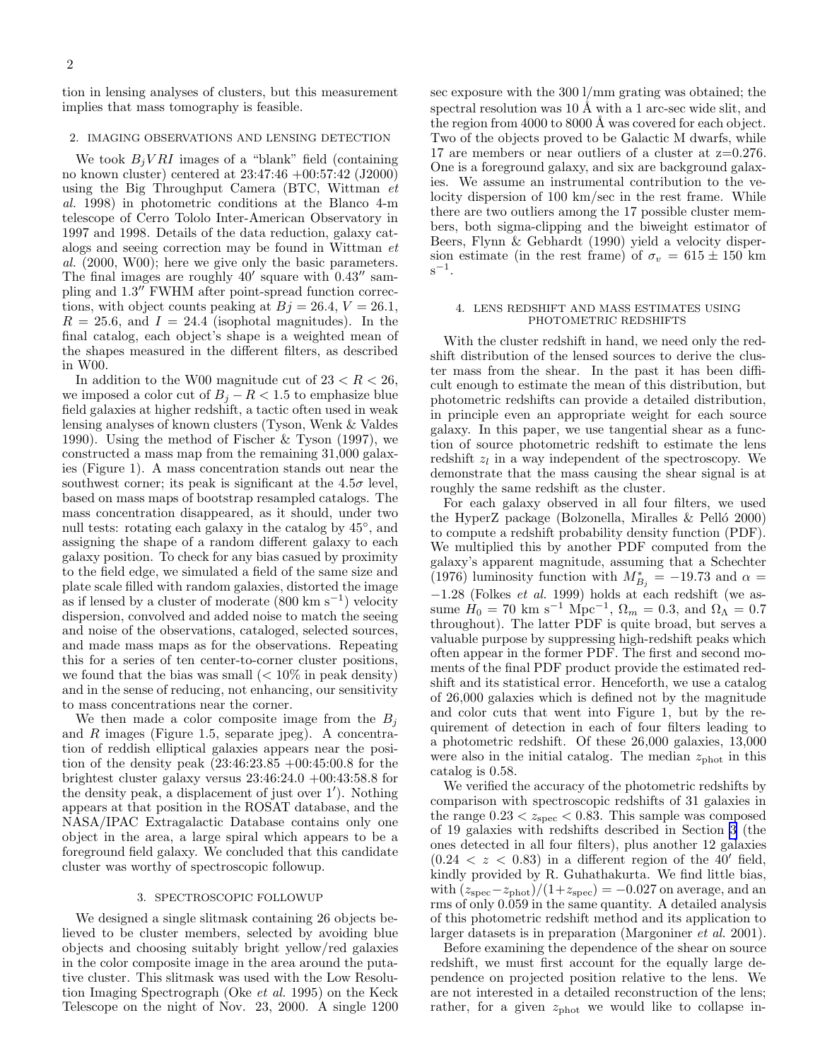tion in lensing analyses of clusters, but this measurement implies that mass tomography is feasible.

#### 2. IMAGING OBSERVATIONS AND LENSING DETECTION

We took  $B_j VRI$  images of a "blank" field (containing no known cluster) centered at 23:47:46 +00:57:42 (J2000) using the Big Throughput Camera (BTC, Wittman *et al.* 1998) in photometric conditions at the Blanco 4-m telescope of Cerro Tololo Inter-American Observatory in 1997 and 1998. Details of the data reduction, galaxy catalogs and seeing correction may be found in Wittman *et al.* (2000, W00); here we give only the basic parameters. The final images are roughly  $40'$  square with  $0.43''$  sampling and 1.3′′ FWHM after point-spread function corrections, with object counts peaking at  $Bj = 26.4, V = 26.1$ ,  $R = 25.6$ , and  $I = 24.4$  (isophotal magnitudes). In the final catalog, each object's shape is a weighted mean of the shapes measured in the different filters, as described in W00.

In addition to the W00 magnitude cut of  $23 < R < 26$ , we imposed a color cut of  $B_j - R < 1.5$  to emphasize blue field galaxies at higher redshift, a tactic often used in weak lensing analyses of known clusters (Tyson, Wenk & Valdes 1990). Using the method of Fischer & Tyson (1997), we constructed a mass map from the remaining 31,000 galaxies (Figure 1). A mass concentration stands out near the southwest corner; its peak is significant at the  $4.5\sigma$  level, based on mass maps of bootstrap resampled catalogs. The mass concentration disappeared, as it should, under two null tests: rotating each galaxy in the catalog by 45◦ , and assigning the shape of a random different galaxy to each galaxy position. To check for any bias casued by proximity to the field edge, we simulated a field of the same size and plate scale filled with random galaxies, distorted the image as if lensed by a cluster of moderate (800 km s<sup>−</sup><sup>1</sup> ) velocity dispersion, convolved and added noise to match the seeing and noise of the observations, cataloged, selected sources, and made mass maps as for the observations. Repeating this for a series of ten center-to-corner cluster positions, we found that the bias was small  $(< 10\%$  in peak density) and in the sense of reducing, not enhancing, our sensitivity to mass concentrations near the corner.

We then made a color composite image from the  $B_i$ and  $R$  images (Figure 1.5, separate jpeg). A concentration of reddish elliptical galaxies appears near the position of the density peak (23:46:23.85 +00:45:00.8 for the brightest cluster galaxy versus  $23:46:24.0 +00:43:58.8$  for the density peak, a displacement of just over 1′ ). Nothing appears at that position in the ROSAT database, and the NASA/IPAC Extragalactic Database contains only one object in the area, a large spiral which appears to be a foreground field galaxy. We concluded that this candidate cluster was worthy of spectroscopic followup.

### 3. SPECTROSCOPIC FOLLOWUP

We designed a single slitmask containing 26 objects believed to be cluster members, selected by avoiding blue objects and choosing suitably bright yellow/red galaxies in the color composite image in the area around the putative cluster. This slitmask was used with the Low Resolution Imaging Spectrograph (Oke *et al.* 1995) on the Keck Telescope on the night of Nov. 23, 2000. A single 1200 sec exposure with the 300 l/mm grating was obtained; the spectral resolution was  $10 \text{ Å}$  with a 1 arc-sec wide slit, and the region from  $4000$  to  $8000$  Å was covered for each object. Two of the objects proved to be Galactic M dwarfs, while 17 are members or near outliers of a cluster at z=0.276. One is a foreground galaxy, and six are background galaxies. We assume an instrumental contribution to the velocity dispersion of 100 km/sec in the rest frame. While there are two outliers among the 17 possible cluster members, both sigma-clipping and the biweight estimator of Beers, Flynn & Gebhardt (1990) yield a velocity dispersion estimate (in the rest frame) of  $\sigma_v = 615 \pm 150$  km s .

### 4. LENS REDSHIFT AND MASS ESTIMATES USING PHOTOMETRIC REDSHIFTS

With the cluster redshift in hand, we need only the redshift distribution of the lensed sources to derive the cluster mass from the shear. In the past it has been difficult enough to estimate the mean of this distribution, but photometric redshifts can provide a detailed distribution, in principle even an appropriate weight for each source galaxy. In this paper, we use tangential shear as a function of source photometric redshift to estimate the lens redshift  $z_l$  in a way independent of the spectroscopy. We demonstrate that the mass causing the shear signal is at roughly the same redshift as the cluster.

For each galaxy observed in all four filters, we used the HyperZ package (Bolzonella, Miralles  $\&$  Pelló 2000) to compute a redshift probability density function (PDF). We multiplied this by another PDF computed from the galaxy's apparent magnitude, assuming that a Schechter (1976) luminosity function with  $M_{B_j}^* = -19.73$  and  $\alpha =$ −1.28 (Folkes *et al.* 1999) holds at each redshift (we assume  $\dot{H}_0 = 70 \text{ km s}^{-1} \text{ Mpc}^{-1}, \Omega_m = 0.3, \text{ and } \Omega_{\Lambda} = 0.7$ throughout). The latter PDF is quite broad, but serves a valuable purpose by suppressing high-redshift peaks which often appear in the former PDF. The first and second moments of the final PDF product provide the estimated redshift and its statistical error. Henceforth, we use a catalog of 26,000 galaxies which is defined not by the magnitude and color cuts that went into Figure 1, but by the requirement of detection in each of four filters leading to a photometric redshift. Of these 26,000 galaxies, 13,000 were also in the initial catalog. The median  $z_{\text{phot}}$  in this catalog is 0.58.

We verified the accuracy of the photometric redshifts by comparison with spectroscopic redshifts of 31 galaxies in the range  $0.23 < z<sub>spec</sub> < 0.83$ . This sample was composed of 19 galaxies with redshifts described in Section 3 (the ones detected in all four filters), plus another 12 galaxies  $(0.24 < z < 0.83)$  in a different region of the 40' field, kindly provided by R. Guhathakurta. We find little bias, with  $(z<sub>spec</sub>-z<sub>phot</sub>)/(1+z<sub>spec</sub>) = -0.027$  on average, and an rms of only 0.059 in the same quantity. A detailed analysis of this photometric redshift method and its application to larger datasets is in preparation (Margoniner *et al.* 2001).

Before examining the dependence of the shear on source redshift, we must first account for the equally large dependence on projected position relative to the lens. We are not interested in a detailed reconstruction of the lens; rather, for a given  $z_{phot}$  we would like to collapse in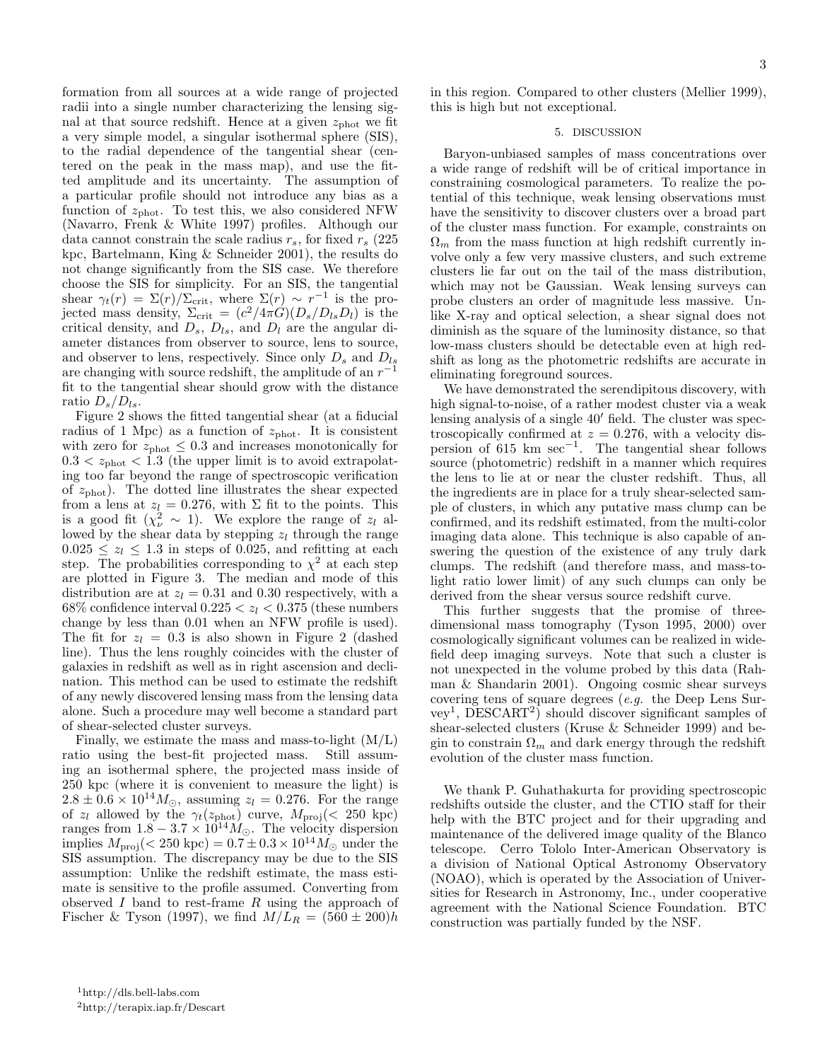formation from all sources at a wide range of projected radii into a single number characterizing the lensing signal at that source redshift. Hence at a given  $z_{\text{phot}}$  we fit a very simple model, a singular isothermal sphere (SIS), to the radial dependence of the tangential shear (centered on the peak in the mass map), and use the fitted amplitude and its uncertainty. The assumption of a particular profile should not introduce any bias as a function of  $z_{phot}$ . To test this, we also considered NFW (Navarro, Frenk & White 1997) profiles. Although our data cannot constrain the scale radius  $r_s$ , for fixed  $r_s$  (225) kpc, Bartelmann, King & Schneider 2001), the results do not change significantly from the SIS case. We therefore choose the SIS for simplicity. For an SIS, the tangential shear  $\gamma_t(r) = \Sigma(r)/\Sigma_{\rm crit}$ , where  $\Sigma(r) \sim r^{-1}$  is the projected mass density,  $\Sigma_{\rm crit} = (c^2/4\pi G)(D_s/D_{ls}D_l)$  is the critical density, and  $D_s$ ,  $D_{ls}$ , and  $D_l$  are the angular diameter distances from observer to source, lens to source, and observer to lens, respectively. Since only  $D_s$  and  $D_{ls}$ are changing with source redshift, the amplitude of an  $r^{-1}$ fit to the tangential shear should grow with the distance ratio  $D_s/D_{ls}$ .

Figure 2 shows the fitted tangential shear (at a fiducial radius of 1 Mpc) as a function of  $z_{phot}$ . It is consistent with zero for  $z_{phot} \leq 0.3$  and increases monotonically for  $0.3 < z<sub>phot</sub> < 1.3$  (the upper limit is to avoid extrapolating too far beyond the range of spectroscopic verification of  $z_{phot}$ ). The dotted line illustrates the shear expected from a lens at  $z_l = 0.276$ , with  $\Sigma$  fit to the points. This is a good fit  $(\chi^2_{\nu} \sim 1)$ . We explore the range of  $z_l$  allowed by the shear data by stepping  $z_l$  through the range  $0.025 \leq z_l \leq 1.3$  in steps of 0.025, and refitting at each step. The probabilities corresponding to  $\chi^2$  at each step are plotted in Figure 3. The median and mode of this distribution are at  $z_l = 0.31$  and 0.30 respectively, with a 68% confidence interval  $0.225 < z_l < 0.375$  (these numbers change by less than 0.01 when an NFW profile is used). The fit for  $z_l = 0.3$  is also shown in Figure 2 (dashed line). Thus the lens roughly coincides with the cluster of galaxies in redshift as well as in right ascension and declination. This method can be used to estimate the redshift of any newly discovered lensing mass from the lensing data alone. Such a procedure may well become a standard part of shear-selected cluster surveys.

Finally, we estimate the mass and mass-to-light  $(M/L)$ ratio using the best-fit projected mass. Still assuming an isothermal sphere, the projected mass inside of 250 kpc (where it is convenient to measure the light) is  $2.8 \pm 0.6 \times 10^{14} M_{\odot}$ , assuming  $z_l = 0.276$ . For the range of  $z_l$  allowed by the  $\gamma_t(z_{phot})$  curve,  $M_{\text{proj}}(z) \approx 250 \text{ kpc}$ ranges from  $1.8 - 3.7 \times 10^{14} M_{\odot}$ . The velocity dispersion implies  $M_{\text{proj}}(< 250 \text{ kpc}) = 0.7 \pm 0.3 \times 10^{14} M_{\odot}$  under the SIS assumption. The discrepancy may be due to the SIS assumption: Unlike the redshift estimate, the mass estimate is sensitive to the profile assumed. Converting from observed  $I$  band to rest-frame  $R$  using the approach of Fischer & Tyson (1997), we find  $M/L_R = (560 \pm 200)h$  in this region. Compared to other clusters (Mellier 1999), this is high but not exceptional.

# 5. DISCUSSION

Baryon-unbiased samples of mass concentrations over a wide range of redshift will be of critical importance in constraining cosmological parameters. To realize the potential of this technique, weak lensing observations must have the sensitivity to discover clusters over a broad part of the cluster mass function. For example, constraints on  $\Omega_m$  from the mass function at high redshift currently involve only a few very massive clusters, and such extreme clusters lie far out on the tail of the mass distribution, which may not be Gaussian. Weak lensing surveys can probe clusters an order of magnitude less massive. Unlike X-ray and optical selection, a shear signal does not diminish as the square of the luminosity distance, so that low-mass clusters should be detectable even at high redshift as long as the photometric redshifts are accurate in eliminating foreground sources.

We have demonstrated the serendipitous discovery, with high signal-to-noise, of a rather modest cluster via a weak lensing analysis of a single 40′ field. The cluster was spectroscopically confirmed at  $z = 0.276$ , with a velocity dispersion of 615 km sec<sup>−</sup><sup>1</sup> . The tangential shear follows source (photometric) redshift in a manner which requires the lens to lie at or near the cluster redshift. Thus, all the ingredients are in place for a truly shear-selected sample of clusters, in which any putative mass clump can be confirmed, and its redshift estimated, from the multi-color imaging data alone. This technique is also capable of answering the question of the existence of any truly dark clumps. The redshift (and therefore mass, and mass-tolight ratio lower limit) of any such clumps can only be derived from the shear versus source redshift curve.

This further suggests that the promise of threedimensional mass tomography (Tyson 1995, 2000) over cosmologically significant volumes can be realized in widefield deep imaging surveys. Note that such a cluster is not unexpected in the volume probed by this data (Rahman & Shandarin 2001). Ongoing cosmic shear surveys covering tens of square degrees (*e.g.* the Deep Lens Survey<sup>1</sup> , DESCART<sup>2</sup> ) should discover significant samples of shear-selected clusters (Kruse & Schneider 1999) and begin to constrain  $\Omega_m$  and dark energy through the redshift evolution of the cluster mass function.

We thank P. Guhathakurta for providing spectroscopic redshifts outside the cluster, and the CTIO staff for their help with the BTC project and for their upgrading and maintenance of the delivered image quality of the Blanco telescope. Cerro Tololo Inter-American Observatory is a division of National Optical Astronomy Observatory (NOAO), which is operated by the Association of Universities for Research in Astronomy, Inc., under cooperative agreement with the National Science Foundation. BTC construction was partially funded by the NSF.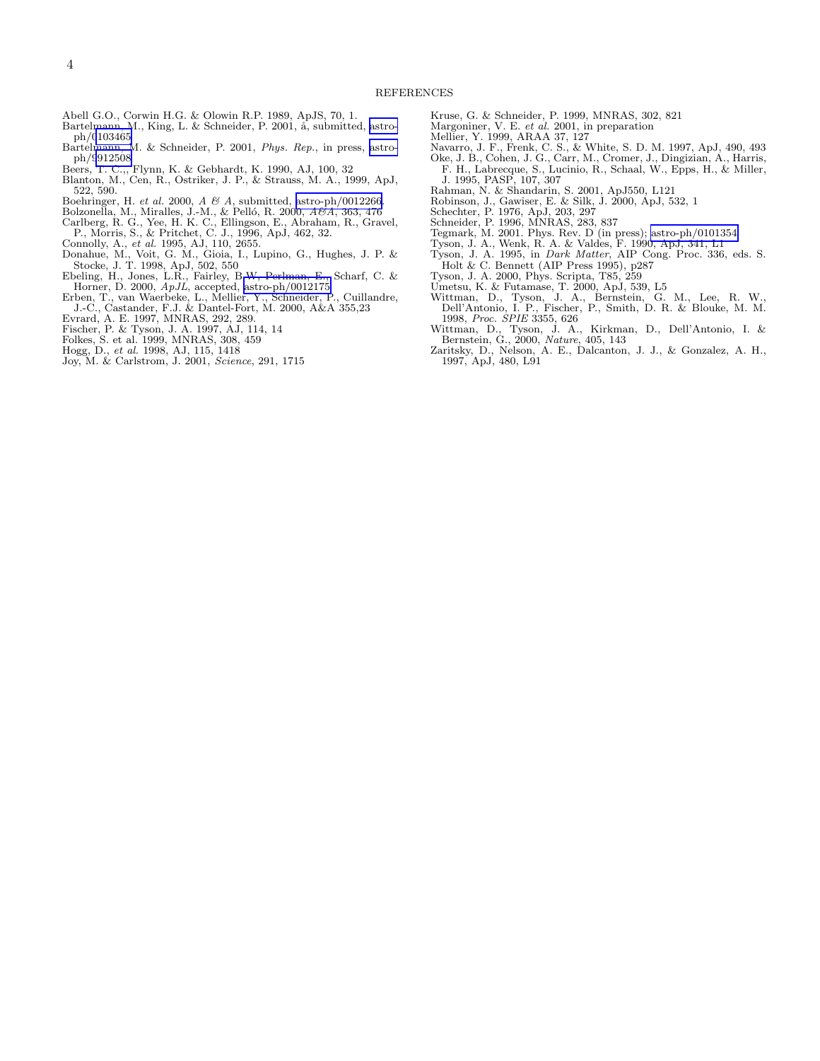- Abell G.O., Corwin H.G. & Olowin R.P. 1989, ApJS, 70, 1.
- Bartelmann, M., King, L. & Schneider, P. 2001, å, submitted, [astro-](http://arxiv.org/abs/astro-ph/0103465)
- ph/[0103465](http://arxiv.org/abs/astro-ph/0103465) Bartelmann, M. & Schneider, P. 2001, Phys. Rep., in press, [astro](http://arxiv.org/abs/astro-ph/9912508)ph/[9912508](http://arxiv.org/abs/astro-ph/9912508)
- 
- Beers, T. C.,, Flynn, K. & Gebhardt, K. 1990, AJ, 100, 32 Blanton, M., Cen, R., Ostriker, J. P., & Strauss, M. A., 1999, ApJ, 522, 590.
- 
- Boehringer, H. *et al.* 2000, A & A, submitted, [astro-ph/0012266](http://arxiv.org/abs/astro-ph/0012266).<br>Bolzonella, M., Miralles, J.-M., & Pelló, R. 2000, A&A, 363, 476
- Carlberg, R. G., Yee, H. K. C., Ellingson, E., Abraham, R., Gravel, P., Morris, S., & Pritchet, C. J., 1996, ApJ, 462, 32. Connolly, A., et al. 1995, AJ, 110, 2655.
- 
- Donahue, M., Voit, G. M., Gioia, I., Lupino, G., Hughes, J. P. &
- Stocke, J. T. 1998, ApJ, 502, 550<br>Ebeling, H., Jones, L.R., Fairley, B.W, Perlman, E., Scharf, C. &<br>Horner, D. 2000, ApJL, accepted, [astro-ph/0012175](http://arxiv.org/abs/astro-ph/0012175)
- Erben, T., van Waerbeke, L., Mellier, Y., Schneider, P., Cuillandre, J.-C., Castander, F.J. & Dantel-Fort, M. 2000, A&A 355,23
- Evrard, A. E. 1997, MNRAS, 292, 289. Fischer, P. & Tyson, J. A. 1997, AJ, 114, 14
- 
- Folkes, S. et al. 1999, MNRAS, 308, 459 Hogg, D., et al. 1998, AJ, 115, 1418
- 
- Joy, M. & Carlstrom, J. 2001, Science, 291, 1715
- Kruse, G. & Schneider, P. 1999, MNRAS, 302, 821
- Margoniner, V. E. et al. 2001, in preparation
- 
- 
- Mellier, Y. 1999, ARAA 37, 127 Navarro, J. F., Frenk, C. S., & White, S. D. M. 1997, ApJ, 490, 493 Oke, J. B., Cohen, J. G., Carr, M., Cromer, J., Dingizian, A., Harris, F. H., Labrecque, S., Lucinio, R., Schaal, W., Epps, H., & Miller, J. 1995, PASP, 107, 307
- Rahman, N. & Shandarin, S. 2001, ApJ550, L121
- Robinson, J., Gawiser, E. & Silk, J. 2000, ApJ, 532, 1 Schechter, P. 1976, ApJ, 203, 297
- 
- Schneider, P. 1996, MNRAS, 283, 837
- Tegmark, M. 2001. Phys. Rev. D (in press); [astro-ph/0101354](http://arxiv.org/abs/astro-ph/0101354)
- Tyson, J. A., Wenk, R. A. & Valdes, F. 1990, ApJ, 341, L1 Tyson, J. A. 1995, in Dark Matter, AIP Cong. Proc. 336, eds. S.
- Holt & C. Bennett (AIP Press 1995), p287 Tyson, J. A. 2000, Phys. Scripta, T85, 259
- 
- Umetsu, K. & Futamase, T. 2000, ApJ, 539, L5
- Wittman, D., Tyson, J. A., Bernstein, G. M., Lee, R. W., Dell'Antonio, I. P., Fischer, P., Smith, D. R. & Blouke, M. M.
- 1998, Proc. SPIE 3355, 626 Wittman, D., Tyson, J. A., Kirkman, D., Dell'Antonio, I. & Bernstein, G., 2000, Nature, 405, 143
- Zaritsky, D., Nelson, A. E., Dalcanton, J. J., & Gonzalez, A. H., 1997, ApJ, 480, L91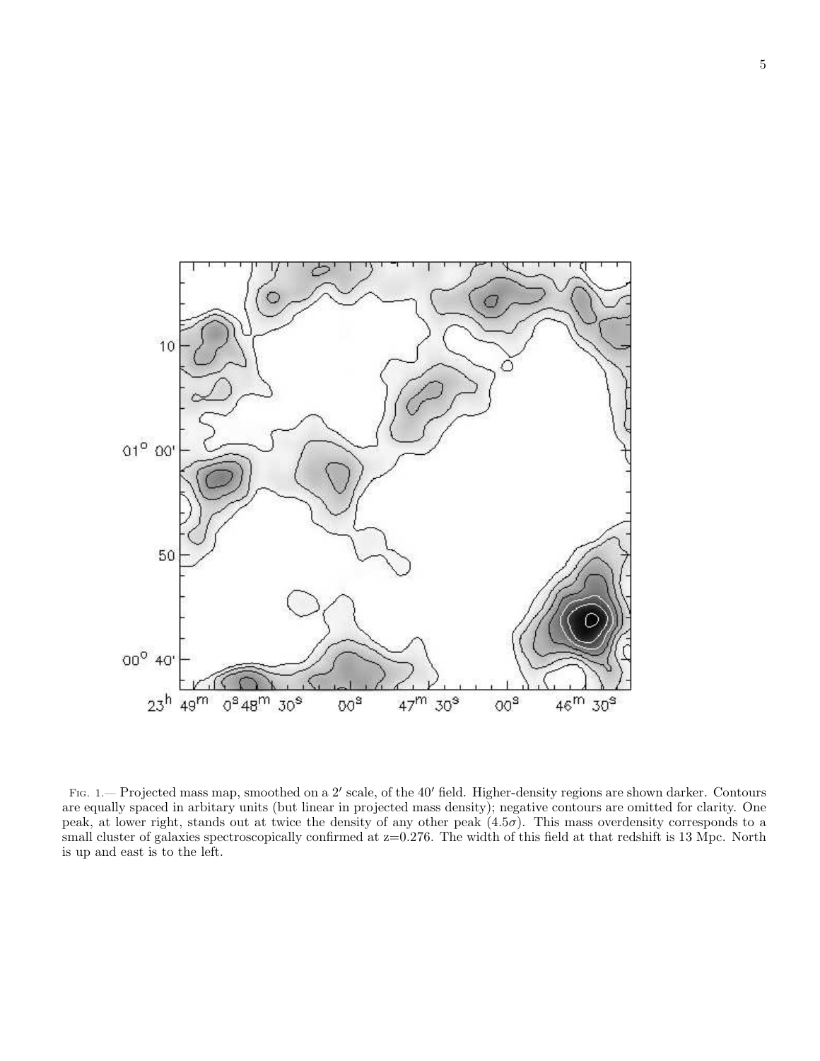

FIG. 1.— Projected mass map, smoothed on a 2' scale, of the 40' field. Higher-density regions are shown darker. Contours are equally spaced in arbitary units (but linear in projected mass density); negative contours are omitted for clarity. One peak, at lower right, stands out at twice the density of any other peak  $(4.5\sigma)$ . This mass overdensity corresponds to a small cluster of galaxies spectroscopically confirmed at  $z=0.276$ . The width of this field at that redshift is 13 Mpc. North is up and east is to the left.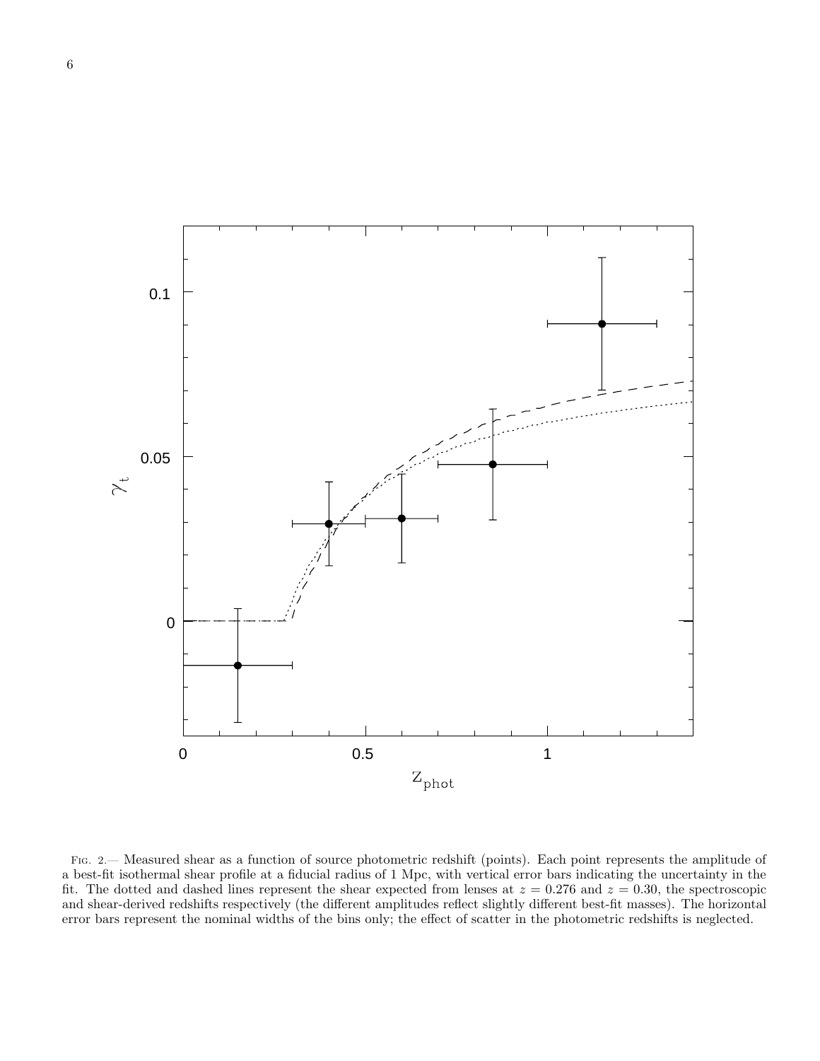

Fig. 2.— Measured shear as a function of source photometric redshift (points). Each point represents the amplitude of a best-fit isothermal shear profile at a fiducial radius of 1 Mpc, with vertical error bars indicating the uncertainty in the fit. The dotted and dashed lines represent the shear expected from lenses at  $z = 0.276$  and  $z = 0.30$ , the spectroscopic and shear-derived redshifts respectively (the different amplitudes reflect slightly different best-fit masses). The horizontal error bars represent the nominal widths of the bins only; the effect of scatter in the photometric redshifts is neglected.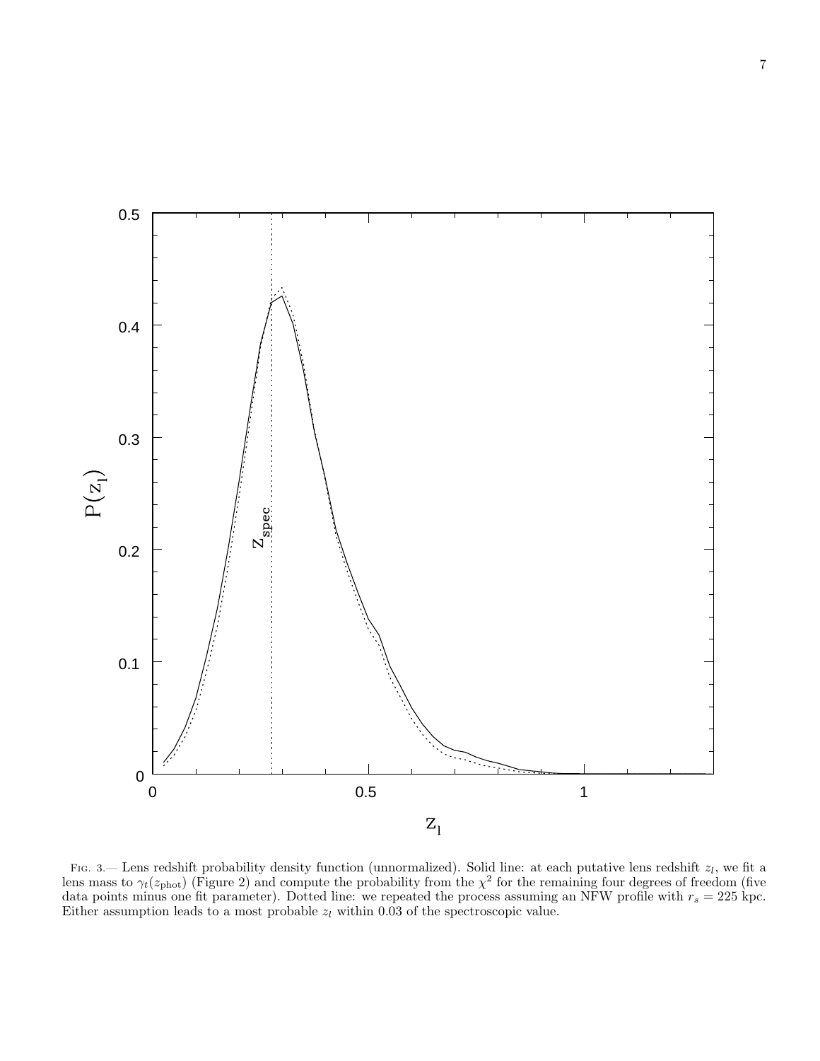

Fig. 3.— Lens redshift probability density function (unnormalized). Solid line: at each putative lens redshift  $z_l$ , we fit a lens mass to  $\gamma_t(z_{\text{phot}})$  (Figure 2) and compute the probability from the  $\chi^2$  for the remaining four degrees of freedom (five data points minus one fit parameter). Dotted line: we repeated the process assuming an NFW profile with  $r_s = 225$  kpc. Either assumption leads to a most probable  $z_l$  within 0.03 of the spectroscopic value.